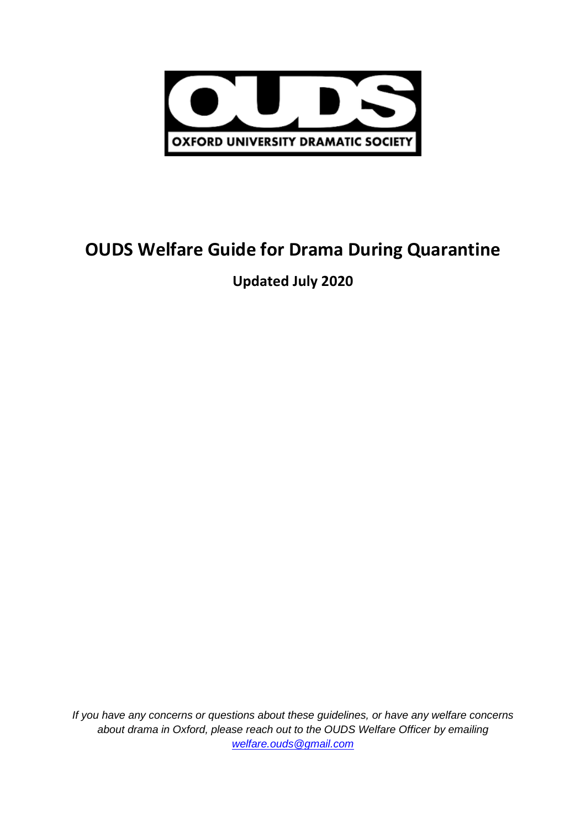

# **OUDS Welfare Guide for Drama During Quarantine**

## **Updated July 2020**

*If you have any concerns or questions about these guidelines, or have any welfare concerns about drama in Oxford, please reach out to the OUDS Welfare Officer by emailing [welfare.ouds@gmail.com](mailto:welfare.ouds@gmail.com)*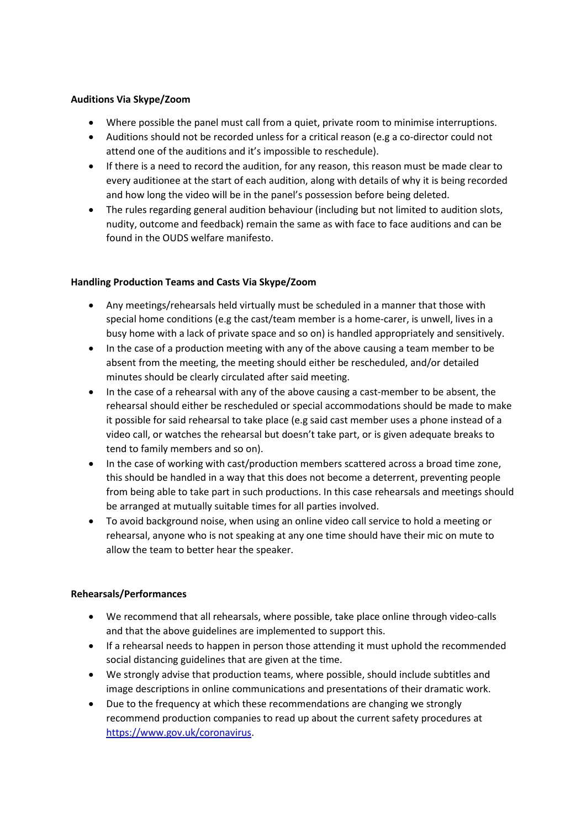#### **Auditions Via Skype/Zoom**

- Where possible the panel must call from a quiet, private room to minimise interruptions.
- Auditions should not be recorded unless for a critical reason (e.g a co-director could not attend one of the auditions and it's impossible to reschedule).
- If there is a need to record the audition, for any reason, this reason must be made clear to every auditionee at the start of each audition, along with details of why it is being recorded and how long the video will be in the panel's possession before being deleted.
- The rules regarding general audition behaviour (including but not limited to audition slots, nudity, outcome and feedback) remain the same as with face to face auditions and can be found in the OUDS welfare manifesto.

#### **Handling Production Teams and Casts Via Skype/Zoom**

- Any meetings/rehearsals held virtually must be scheduled in a manner that those with special home conditions (e.g the cast/team member is a home-carer, is unwell, lives in a busy home with a lack of private space and so on) is handled appropriately and sensitively.
- In the case of a production meeting with any of the above causing a team member to be absent from the meeting, the meeting should either be rescheduled, and/or detailed minutes should be clearly circulated after said meeting.
- In the case of a rehearsal with any of the above causing a cast-member to be absent, the rehearsal should either be rescheduled or special accommodations should be made to make it possible for said rehearsal to take place (e.g said cast member uses a phone instead of a video call, or watches the rehearsal but doesn't take part, or is given adequate breaks to tend to family members and so on).
- In the case of working with cast/production members scattered across a broad time zone, this should be handled in a way that this does not become a deterrent, preventing people from being able to take part in such productions. In this case rehearsals and meetings should be arranged at mutually suitable times for all parties involved.
- To avoid background noise, when using an online video call service to hold a meeting or rehearsal, anyone who is not speaking at any one time should have their mic on mute to allow the team to better hear the speaker.

### **Rehearsals/Performances**

- We recommend that all rehearsals, where possible, take place online through video-calls and that the above guidelines are implemented to support this.
- If a rehearsal needs to happen in person those attending it must uphold the recommended social distancing guidelines that are given at the time.
- We strongly advise that production teams, where possible, should include subtitles and image descriptions in online communications and presentations of their dramatic work.
- Due to the frequency at which these recommendations are changing we strongly recommend production companies to read up about the current safety procedures at [https://www.gov.uk/coronavirus.](https://www.gov.uk/coronavirus)